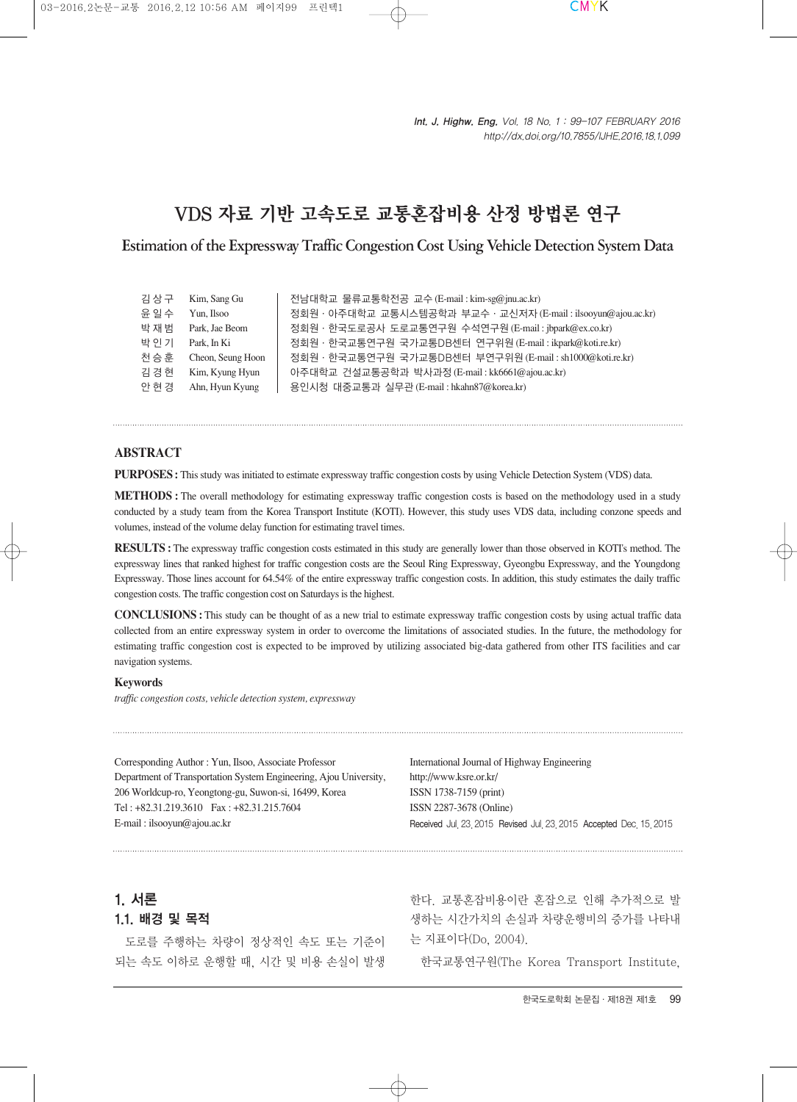# VDS 자료 기반 고속도로 교통혼잡비용 산정 방법론 연구

Estimation of the Expressway Traffic Congestion Cost Using Vehicle Detection System Data

| 김상구   | Kim, Sang Gu      | 전남대학교 물류교통학전공 교수(E-mail:kim-sg@jnu.ac.kr)                     |
|-------|-------------------|---------------------------------------------------------------|
| 윤 일 수 | Yun, Ilsoo        | 정회원 · 아주대학교 교통시스템공학과 부교수 · 교신저자 (E-mail: ilsooyun@ajou.ac.kr) |
| 박재범   | Park, Jae Beom    | 정회원·한국도로공사 도로교통연구원 수석연구원(E-mail:jbpark@ex.co.kr)              |
| 박 인 기 | Park, In Ki       | 정회원 · 한국교통연구원 국가교통DB센터 연구위원 (E-mail: ikpark@koti.re.kr)       |
| 천승훈   | Cheon, Seung Hoon | 정회원 · 한국교통연구원 국가교통DB센터 부연구위원 (E-mail: sh1000@koti.re.kr)      |
| 김경현   | Kim, Kyung Hyun   | 아주대학교 건설교통공학과 박사과정(E-mail:kk6661@ajou.ac.kr)                  |
| 안 현 경 | Ahn, Hyun Kyung   | 용인시청 대중교통과 실무관 (E-mail: hkahn87@korea.kr)                     |

### **ABSTRACT**

**PURPOSES:** This study was initiated to estimate expressway traffic congestion costs by using Vehicle Detection System (VDS) data.

**METHODS :** The overall methodology for estimating expressway traffic congestion costs is based on the methodology used in a study conducted by a study team from the Korea Transport Institute (KOTI). However, this study uses VDS data, including conzone speeds and volumes, instead of the volume delay function for estimating travel times.

**RESULTS :** The expressway traffic congestion costs estimated in this study are generally lower than those observed in KOTI's method. The expressway lines that ranked highest for traffic congestion costs are the Seoul Ring Expressway, Gyeongbu Expressway, and the Youngdong Expressway. Those lines account for 64.54% of the entire expressway traffic congestion costs. In addition, this study estimates the daily traffic congestion costs. The traffic congestion cost on Saturdays is the highest.

**CONCLUSIONS :** This study can be thought of as a new trial to estimate expressway traffic congestion costs by using actual traffic data collected from an entire expressway system in order to overcome the limitations of associated studies. In the future, the methodology for estimating traffic congestion cost is expected to be improved by utilizing associated big-data gathered from other ITS facilities and car navigation systems.

#### **Keywords**

*traffic congestion costs, vehicle detection system, expressway*

Corresponding Author : Yun, Ilsoo, Associate Professor Department of Transportation System Engineering, Ajou University, 206 Worldcup-ro, Yeongtong-gu, Suwon-si, 16499, Korea Tel : +82.31.219.3610 Fax : +82.31.215.7604 E-mail : ilsooyun@ajou.ac.kr

International Journal of Highway Engineering http://www.ksre.or.kr/ ISSN 1738-7159 (print) ISSN 2287-3678 (Online) Received Jul. 23. 2015 Revised Jul. 23. 2015 Accepted Dec. 15. 2015

# 1. 서론

## 1.1. 배경 및 목적

도로를 주행하는 차량이 정상적인 속도 또는 기준이 되는 속도 이하로 운행할 때, 시간 및 비용 손실이 발생

한다. 교통혼잡비용이란 혼잡으로 인해 추가적으로 발 생하는 시간가치의 손실과 차량운행비의 증가를 나타내 는 지표이다(Do, 2004).

한국교통연구원(The Korea Transport Institute,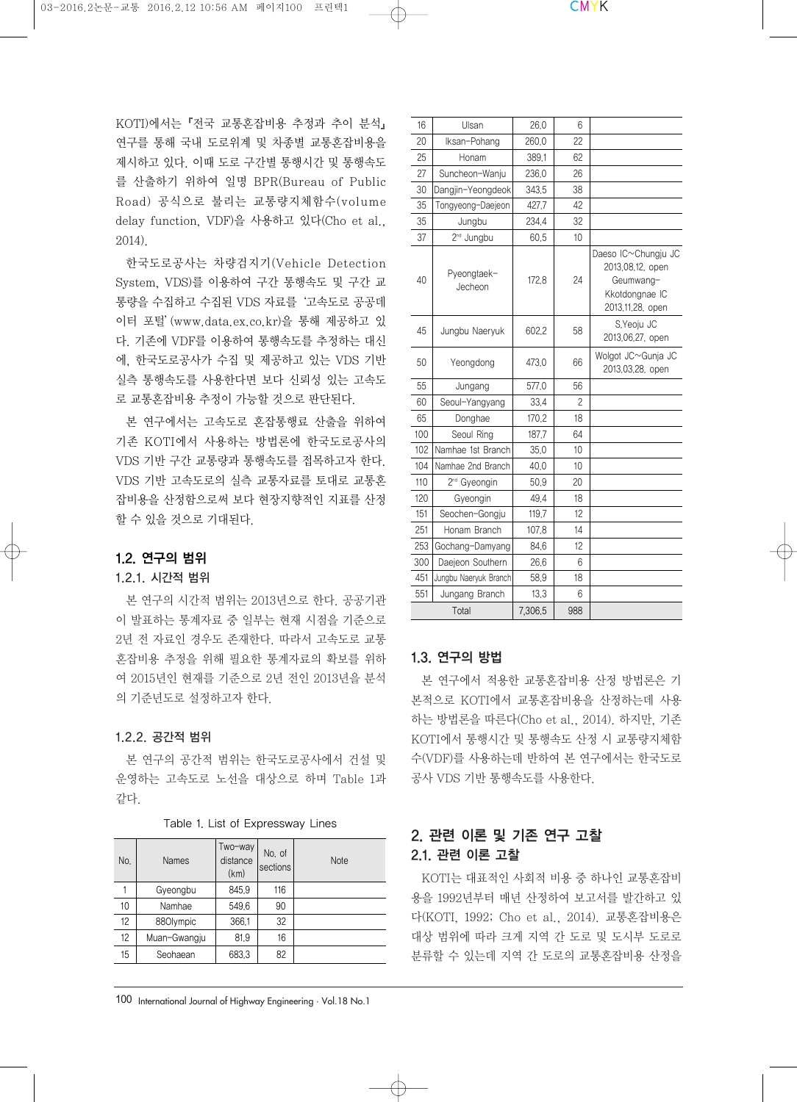KOTI)에서는『전국 교통혼잡비용 추정과 추이 분석』 연구를 통해 국내 도로위계 및 차종별 교통혼잡비용을 제시하고 있다. 이때 도로 구간별 통행시간 및 통행속도 를 산출하기 위하여 일명 BPR(Bureau of Public Road) 공식으로 불리는 교통량지체함수(volume delay function, VDF)을 사용하고 있다(Cho et al., 2014).

한국도로공사는 차량검지기(Vehicle Detection System, VDS)를 이용하여 구간 통행속도 및 구간 교 통량을 수집하고 수집된 VDS 자료를'고속도로 공공데 이터 포털'(www.data.ex.co.kr)을 통해 제공하고 있 다. 기존에 VDF를 이용하여 통행속도를 추정하는 대신 에, 한국도로공사가 수집 및 제공하고 있는 VDS 기반 실측 통행속도를 사용한다면 보다 신뢰성 있는 고속도 로 교통혼잡비용 추정이 가능할 것으로 판단된다.

본 연구에서는 고속도로 혼잡통행료 산출을 위하여 기존 KOTI에서 사용하는 방법론에 한국도로공사의 VDS 기반 구간 교통량과 통행속도를 접목하고자 한다. VDS 기반 고속도로의 실측 교통자료를 토대로 교통혼 잡비용을 산정함으로써 보다 현장지향적인 지표를 산정 할 수 있을 것으로 기대된다.

# 1.2. 연구의 범위

#### 1.2.1. 시간적 범위

본 연구의 시간적 범위는 2013년으로 한다. 공공기관 이 발표하는 통계자료 중 일부는 현재 시점을 기준으로 2년 전 자료인 경우도 존재한다. 따라서 고속도로 교통 혼잡비용 추정을 위해 필요한 통계자료의 확보를 위하 여 2015년인 현재를 기준으로 2년 전인 2013년을 분석 의 기준년도로 설정하고자 한다.

# 1.2.2. 공간적 범위

본 연구의 공간적 범위는 한국도로공사에서 건설 및 운영하는 고속도로 노선을 대상으로 하며 Table 1과 같다.

| No. | Names        | Two-way<br>distance<br>(km) | No. of<br>sections | <b>Note</b> |
|-----|--------------|-----------------------------|--------------------|-------------|
|     | Gyeongbu     | 845.9                       | 116                |             |
| 10  | Namhae       | 549.6                       | 90                 |             |
| 12  | 880lympic    | 366.1                       | 32                 |             |
| 12  | Muan-Gwangju | 81.9                        | 16                 |             |
| 15  | Seohaean     | 683.3                       | 82                 |             |

#### Table 1. List of Expressway Lines

| 16  | Ulsan                    | 26,0    | 6   |                                                                                            |
|-----|--------------------------|---------|-----|--------------------------------------------------------------------------------------------|
| 20  | Iksan-Pohang             | 260,0   | 22  |                                                                                            |
| 25  | Honam                    | 389,1   | 62  |                                                                                            |
| 27  | Suncheon-Wanju           | 236,0   | 26  |                                                                                            |
| 30  | Dangjin-Yeongdeok        | 343.5   | 38  |                                                                                            |
| 35  | Tongyeong-Daejeon        | 427.7   | 42  |                                                                                            |
| 35  | Jungbu                   | 234.4   | 32  |                                                                                            |
| 37  | 2 <sup>nd</sup> Jungbu   | 60.5    | 10  |                                                                                            |
| 40  | Pyeongtaek-<br>Jecheon   | 172.8   | 24  | Daeso IC~Chungju JC<br>2013.08.12, open<br>Geumwang-<br>Kkotdongnae IC<br>2013,11,28, open |
| 45  | Jungbu Naeryuk           | 602.2   | 58  | S.Yeoju JC<br>2013.06.27, open                                                             |
| 50  | Yeongdong                | 473.0   | 66  | Wolgot JC~Gunja JC<br>2013,03,28, open                                                     |
| 55  | Jungang                  | 577.0   | 56  |                                                                                            |
| 60  | Seoul-Yangyang           | 33.4    | 2   |                                                                                            |
| 65  | Donghae                  | 170,2   | 18  |                                                                                            |
| 100 | Seoul Ring               | 187,7   | 64  |                                                                                            |
| 102 | Namhae 1st Branch        | 35.0    | 10  |                                                                                            |
| 104 | Namhae 2nd Branch        | 40,0    | 10  |                                                                                            |
| 110 | 2 <sup>nd</sup> Gyeongin | 50,9    | 20  |                                                                                            |
| 120 | Gyeongin                 | 49.4    | 18  |                                                                                            |
| 151 | Seochen-Gongju           | 119,7   | 12  |                                                                                            |
| 251 | Honam Branch             | 107.8   | 14  |                                                                                            |
| 253 | Gochang-Damyang          | 84,6    | 12  |                                                                                            |
| 300 | Daejeon Southern         | 26,6    | 6   |                                                                                            |
| 451 | Jungbu Naeryuk Branch    | 58,9    | 18  |                                                                                            |
| 551 | Jungang Branch           | 13.3    | 6   |                                                                                            |
|     | Total                    | 7,306.5 | 988 |                                                                                            |

# 1.3. 연구의 방법

본 연구에서 적용한 교통혼잡비용 산정 방법론은 기 본적으로 KOTI에서 교통혼잡비용을 산정하는데 사용 하는 방법론을 따른다(Cho et al., 2014). 하지만, 기존 KOTI에서 통행시간 및 통행속도 산정 시 교통량지체함 수(VDF)를 사용하는데 반하여 본 연구에서는 한국도로 공사 VDS 기반 통행속도를 사용한다.

# 2. 관련 이론 및 기존 연구 고찰 2.1. 관련 이론 고찰

KOTI는 대표적인 사회적 비용 중 하나인 교통혼잡비 용을 1992년부터 매년 산정하여 보고서를 발간하고 있 다(KOTI, 1992; Cho et al., 2014). 교통혼잡비용은 대상 범위에 따라 크게 지역 간 도로 및 도시부 도로로 분류할 수 있는데 지역 간 도로의 교통혼잡비용 산정을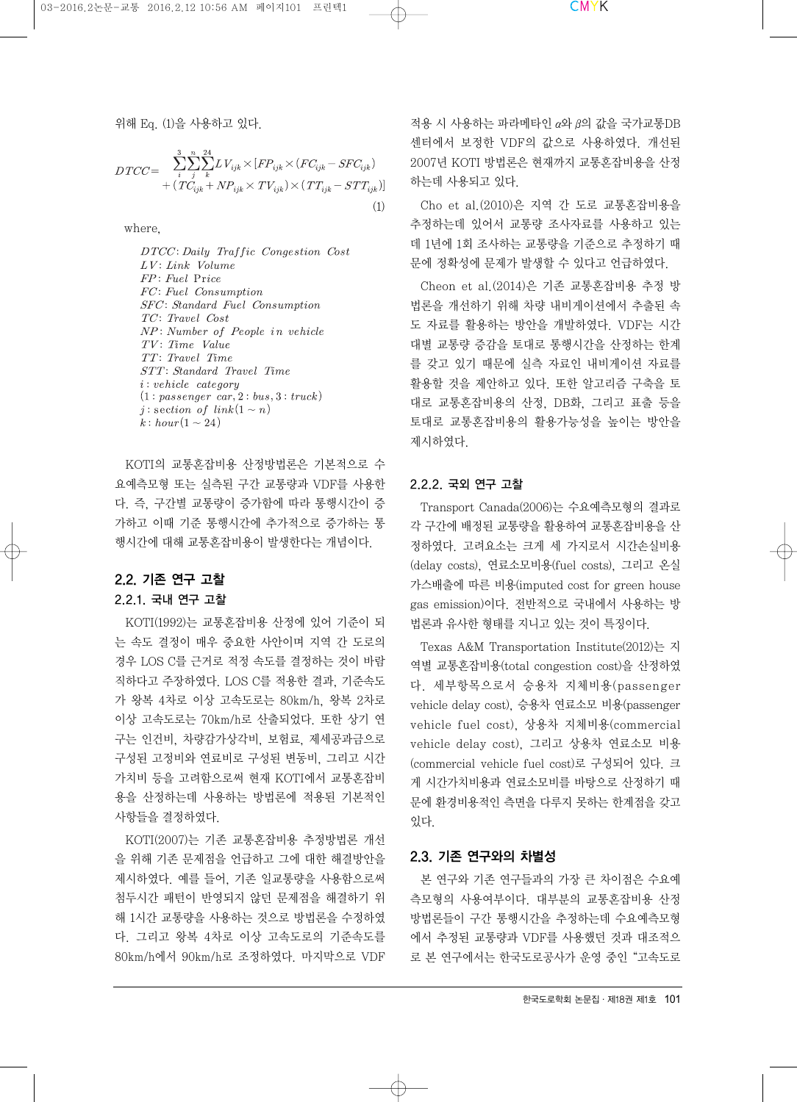위해 Eq. (1)을 사용하고 있다.

$$
DTCC = \sum_{i}^{3} \sum_{j}^{n} \sum_{k}^{24} L V_{ijk} \times [FP_{ijk} \times (FC_{ijk} - SFC_{ijk}) + (TC_{ijk} + NP_{ijk} \times TV_{ijk}) \times (TT_{ijk} - STT_{ijk})]
$$
\n(1)

where,

DTCC: Daily Traffic Congestion Cost  $LV:$  Link Volume  $FP: \, Field \, \, Price$ FC: Fuel Consumption SFC: Standard Fuel Consumption TC: Travel Cost NP: Number of People in vehicle TV: Time Value TT: Travel Time STT: Standard Travel Time  $(1: passenger \ car, 2: bus, 3: truck)$ j: section of  $link(1 \sim n)$  $k: hour(1 \sim 24)$ 

KOTI의 교통혼잡비용 산정방법론은 기본적으로 수 요예측모형 또는 실측된 구간 교통량과 VDF를 사용한 다. 즉, 구간별 교통량이 증가함에 따라 통행시간이 증 가하고 이때 기준 통행시간에 추가적으로 증가하는 통 행시간에 대해 교통혼잡비용이 발생한다는 개념이다.

# 2.2. 기존 연구 고찰

### 2.2.1. 국내 연구 고찰

KOTI(1992)는 교통혼잡비용 산정에 있어 기준이 되 는 속도 결정이 매우 중요한 사안이며 지역 간 도로의 경우 LOS C를 근거로 적정 속도를 결정하는 것이 바람 직하다고 주장하였다. LOS C를 적용한 결과, 기준속도 가 왕복 4차로 이상 고속도로는 80km/h, 왕복 2차로 이상 고속도로는 70km/h로 산출되었다. 또한 상기 연 구는 인건비, 차량감가상각비, 보험료, 제세공과금으로 구성된 고정비와 연료비로 구성된 변동비, 그리고 시간 가치비 등을 고려함으로써 현재 KOTI에서 교통혼잡비 용을 산정하는데 사용하는 방법론에 적용된 기본적인 사항들을 결정하였다.

KOTI(2007)는 기존 교통혼잡비용 추정방법론 개선 을 위해 기존 문제점을 언급하고 그에 대한 해결방안을 제시하였다. 예를 들어, 기존 일교통량을 사용함으로써 첨두시간 패턴이 반영되지 않던 문제점을 해결하기 위 해 1시간 교통량을 사용하는 것으로 방법론을 수정하였 다. 그리고 왕복 4차로 이상 고속도로의 기준속도를 80km/h에서 90km/h로 조정하였다. 마지막으로 VDF

적용 시 사용하는 파라메타인 α와 β의 값을 국가교통DB 센터에서 보정한 VDF의 값으로 사용하였다. 개선된 2007년 KOTI 방법론은 현재까지 교통혼잡비용을 산정 하는데 사용되고 있다.

Cho et al.(2010)은 지역 간 도로 교통혼잡비용을 추정하는데 있어서 교통량 조사자료를 사용하고 있는 데 1년에 1회 조사하는 교통량을 기준으로 추정하기 때 문에 정확성에 문제가 발생할 수 있다고 언급하였다.

Cheon et al.(2014)은 기존 교통혼잡비용 추정 방 법론을 개선하기 위해 차량 내비게이션에서 추출된 속 도 자료를 활용하는 방안을 개발하였다. VDF는 시간 대별 교통량 증감을 토대로 통행시간을 산정하는 한계 를 갖고 있기 때문에 실측 자료인 내비게이션 자료를 활용할 것을 제안하고 있다. 또한 알고리즘 구축을 토 대로 교통혼잡비용의 산정, DB화, 그리고 표출 등을 토대로 교통혼잡비용의 활용가능성을 높이는 방안을 제시하였다.

#### 2.2.2. 국외 연구 고찰

Transport Canada(2006)는 수요예측모형의 결과로 각 구간에 배정된 교통량을 활용하여 교통혼잡비용을 산 정하였다. 고려요소는 크게 세 가지로서 시간손실비용 (delay costs), 연료소모비용(fuel costs), 그리고 온실 가스배출에 따른 비용(imputed cost for green house gas emission)이다. 전반적으로 국내에서 사용하는 방 법론과 유사한 형태를 지니고 있는 것이 특징이다.

Texas A&M Transportation Institute(2012)는 지 역별 교통혼잡비용(total congestion cost)을 산정하였 다. 세부항목으로서 승용차 지체비용(passenger vehicle delay cost), 승용차 연료소모 비용(passenger vehicle fuel cost), 상용차 지체비용(commercial vehicle delay cost), 그리고 상용차 연료소모 비용 (commercial vehicle fuel cost)로 구성되어 있다. 크 게 시간가치비용과 연료소모비를 바탕으로 산정하기 때 문에 환경비용적인 측면을 다루지 못하는 한계점을 갖고 있다.

#### 2.3. 기존 연구와의 차별성

본 연구와 기존 연구들과의 가장 큰 차이점은 수요예 측모형의 사용여부이다. 대부분의 교통혼잡비용 산정 방법론들이 구간 통행시간을 추정하는데 수요예측모형 에서 추정된 교통량과 VDF를 사용했던 것과 대조적으 로 본 연구에서는 한국도로공사가 운영 중인"고속도로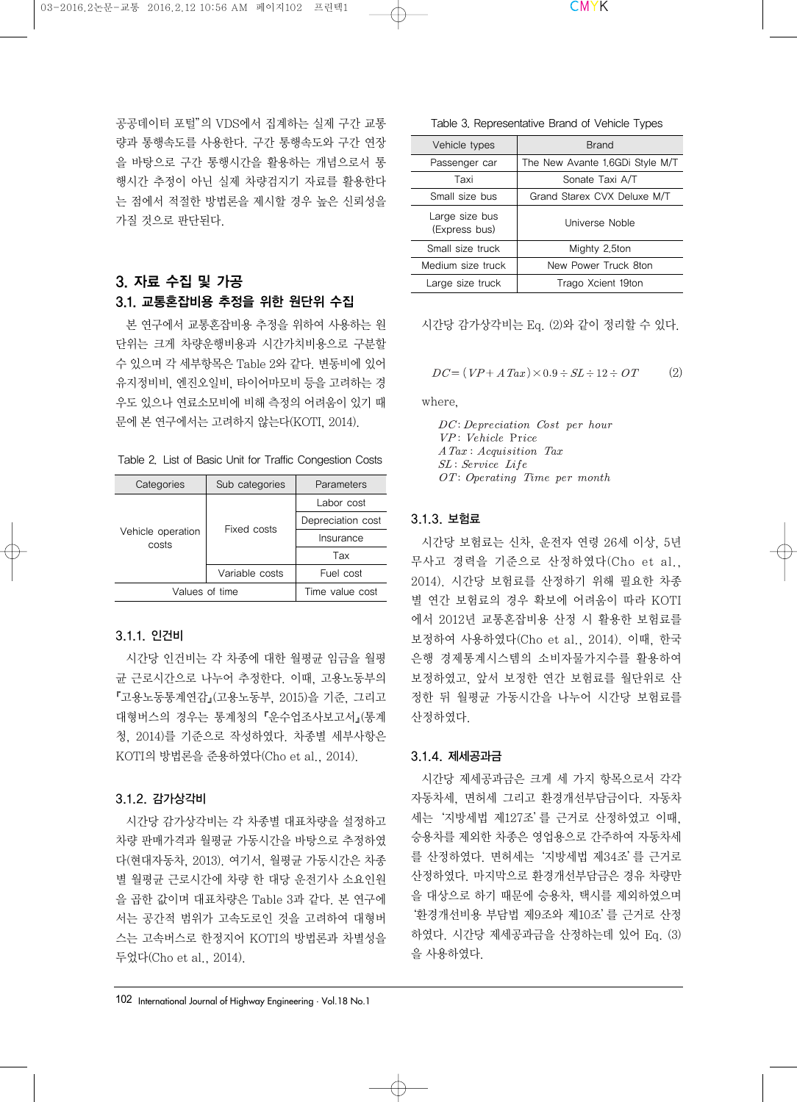공공데이터 포털"의 VDS에서 집계하는 실제 구간 교통 량과 통행속도를 사용한다. 구간 통행속도와 구간 연장 을 바탕으로 구간 통행시간을 활용하는 개념으로서 통 행시간 추정이 아닌 실제 차량검지기 자료를 활용한다 는 점에서 적절한 방법론을 제시할 경우 높은 신뢰성을 가질 것으로 판단된다.

# 3. 자료 수집 및 가공 3.1. 교통혼잡비용 추정을 위한 원단위 수집

본 연구에서 교통혼잡비용 추정을 위하여 사용하는 원 단위는 크게 차량운행비용과 시간가치비용으로 구분할 수 있으며 각 세부항목은 Table 2와 같다. 변동비에 있어 유지정비비, 엔진오일비, 타이어마모비 등을 고려하는 경 우도 있으나 연료소모비에 비해 측정의 어려움이 있기 때 문에 본 연구에서는 고려하지 않는다(KOTI, 2014).

Table 2. List of Basic Unit for Traffic Congestion Costs

| Categories                 | Sub categories  | Parameters        |  |
|----------------------------|-----------------|-------------------|--|
|                            |                 | Labor cost        |  |
| Vehicle operation<br>costs | Fixed costs     | Depreciation cost |  |
|                            |                 | Insurance         |  |
|                            |                 | Tax               |  |
|                            | Variable costs  | Fuel cost         |  |
| Values of time             | Time value cost |                   |  |

### 3.1.1. 인건비

시간당 인건비는 각 차종에 대한 월평균 임금을 월평 균 근로시간으로 나누어 추정한다. 이때, 고용노동부의 『고용노동통계연감』(고용노동부, 2015)을 기준, 그리고 대형버스의 경우는 통계청의『운수업조사보고서』(통계 청, 2014)를 기준으로 작성하였다. 차종별 세부사항은 KOTI의 방법론을 준용하였다(Cho et al., 2014).

# 3.1.2. 감가상각비

시간당 감가상각비는 각 차종별 대표차량을 설정하고 차량 판매가격과 월평균 가동시간을 바탕으로 추정하였 다(현대자동차, 2013). 여기서, 월평균 가동시간은 차종 별 월평균 근로시간에 차량 한 대당 운전기사 소요인원 을 곱한 값이며 대표차량은 Table 3과 같다. 본 연구에 서는 공간적 범위가 고속도로인 것을 고려하여 대형버 스는 고속버스로 한정지어 KOTI의 방법론과 차별성을 두었다(Cho et al., 2014).

102 International Journal of Highway Engineering·Vol.18 No.1

| Table 3. Representative Brand of Vehicle Types |  |  |  |
|------------------------------------------------|--|--|--|
|------------------------------------------------|--|--|--|

| Vehicle types                   | <b>Brand</b>                    |  |
|---------------------------------|---------------------------------|--|
| Passenger car                   | The New Avante 1,6GDi Style M/T |  |
| Taxi                            | Sonate Taxi A/T                 |  |
| Small size bus                  | Grand Starex CVX Deluxe M/T     |  |
| Large size bus<br>(Express bus) | Universe Noble                  |  |
| Small size truck                | Mighty 2.5ton                   |  |
| Medium size truck               | New Power Truck 8ton            |  |
| Large size truck                | Trago Xcient 19ton              |  |

#### 시간당 감가상각비는 Eq. (2)와 같이 정리할 수 있다.

$$
DC = (VP + A\,Tax) \times 0.9 \div SL \div 12 \div OT \tag{2}
$$

where,

 $DC: Depreciation \; Cost \; per \; hour$ VP: Vehicle Price A Tax: Acquisition Tax SL: Service Life OT: Operating Time per month

#### 3.1.3. 보험료

시간당 보험료는 신차, 운전자 연령 26세 이상, 5년 무사고 경력을 기준으로 산정하였다(Cho et al., 2014). 시간당 보험료를 산정하기 위해 필요한 차종 별 연간 보험료의 경우 확보에 어려움이 따라 KOTI 에서 2012년 교통혼잡비용 산정 시 활용한 보험료를 보정하여 사용하였다(Cho et al., 2014). 이때, 한국 은행 경제통계시스템의 소비자물가지수를 활용하여 보정하였고, 앞서 보정한 연간 보험료를 월단위로 산 정한 뒤 월평균 가동시간을 나누어 시간당 보험료를 산정하였다.

#### 3.1.4. 제세공과금

시간당 제세공과금은 크게 세 가지 항목으로서 각각 자동차세, 면허세 그리고 환경개선부담금이다. 자동차 세는'지방세법 제127조'를 근거로 산정하였고 이때, 승용차를 제외한 차종은 영업용으로 간주하여 자동차세 를 산정하였다. 면허세는'지방세법 제34조'를 근거로 산정하였다. 마지막으로 환경개선부담금은 경유 차량만 을 대상으로 하기 때문에 승용차, 택시를 제외하였으며 '환경개선비용 부담법 제9조와 제10조'를 근거로 산정 하였다. 시간당 제세공과금을 산정하는데 있어 Eq. (3) 을 사용하였다.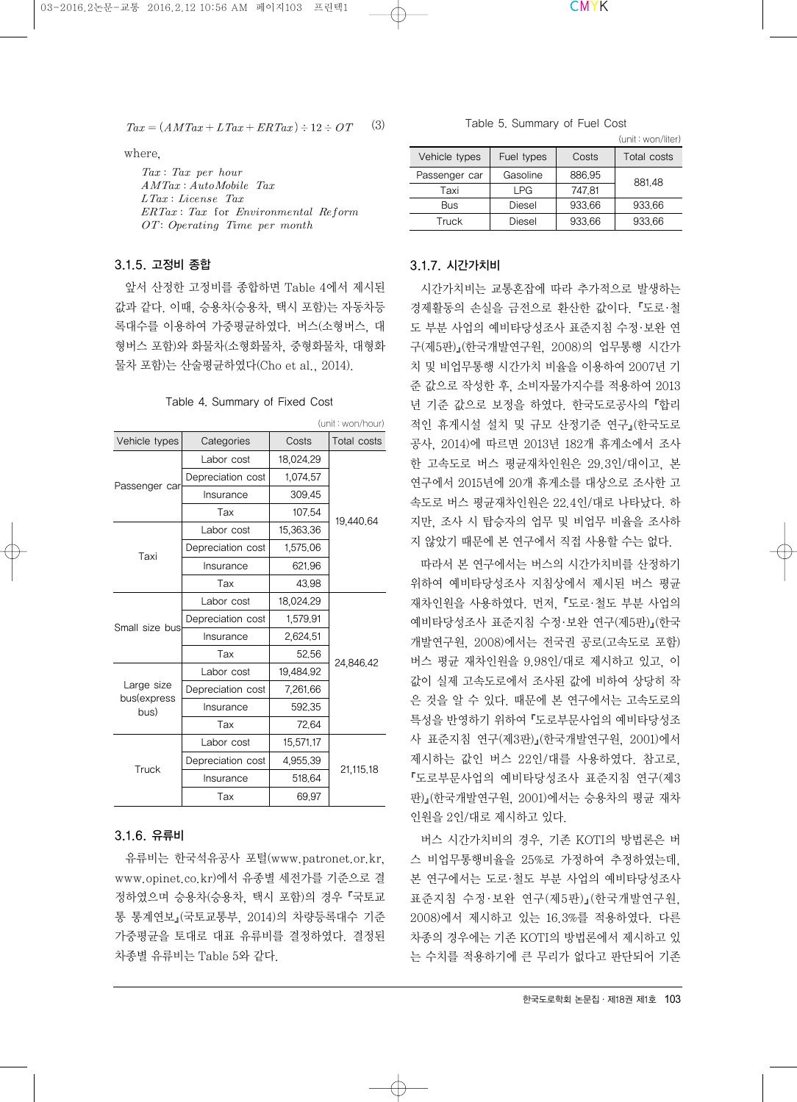$Tax = (AMTax + L Tax + ER Tax) \div 12 \div OT$  (3)

where,

 $Tax: Tax\ per\ hour$  $AMTax: AutoMobile$  Tax  $LTax: License$  Tax  $ERTax: Tax$  for Environmental Reform  $OT: Operating$  Time per month

### 3.1.5. 고정비 종합

앞서 산정한 고정비를 종합하면 Table 4에서 제시된 값과 같다. 이때, 승용차(승용차, 택시 포함)는 자동차등 록대수를 이용하여 가중평균하였다. 버스(소형버스, 대 형버스 포함)와 화물차(소형화물차, 중형화물차, 대형화 물차 포함)는 산술평균하였다(Cho et al., 2014).

Table 4. Summary of Fixed Cost

| (unit: won/hour)            |                   |           |             |  |  |
|-----------------------------|-------------------|-----------|-------------|--|--|
| Vehicle types<br>Categories |                   | Costs     | Total costs |  |  |
|                             | Labor cost        | 18,024,29 |             |  |  |
|                             | Depreciation cost | 1,074,57  |             |  |  |
| Passenger car               | Insurance         | 309.45    |             |  |  |
|                             | Tax               | 107.54    |             |  |  |
|                             | Labor cost        | 15,363,36 | 19,440,64   |  |  |
| Taxi                        | Depreciation cost | 1,575.06  |             |  |  |
|                             | Insurance         | 621.96    |             |  |  |
|                             | Tax               | 43.98     |             |  |  |
|                             | Labor cost        | 18,024.29 |             |  |  |
| Small size bus              | Depreciation cost | 1,579,91  |             |  |  |
|                             | Insurance         | 2,624,51  | 24,846.42   |  |  |
|                             | Tax               | 52.56     |             |  |  |
|                             | Labor cost        | 19,484,92 |             |  |  |
| Large size<br>bus(express   | Depreciation cost | 7,261.66  |             |  |  |
| bus)                        | Insurance         | 592.35    |             |  |  |
|                             | Tax               | 72.64     |             |  |  |
|                             | Labor cost        | 15,571,17 |             |  |  |
| Truck                       | Depreciation cost | 4,955,39  |             |  |  |
|                             | Insurance         | 518.64    | 21,115.18   |  |  |
|                             | Tax               | 69.97     |             |  |  |

### 3.1.6. 유류비

유류비는 한국석유공사 포털(www.patronet.or.kr, www.opinet.co.kr)에서 유종별 세전가를 기준으로 결 정하였으며 승용차(승용차, 택시 포함)의 경우『국토교 통 통계연보』(국토교통부, 2014)의 차량등록대수 기준 가중평균을 토대로 대표 유류비를 결정하였다. 결정된 차종별 유류비는 Table 5와 같다.

#### Table 5. Summary of Fuel Cost

|               |            |        | (unit : won/liter) |
|---------------|------------|--------|--------------------|
| Vehicle types | Fuel types | Costs  | Total costs        |
| Passenger car | Gasoline   | 886.95 | 881.48             |
| Taxi          | I PG       | 747.81 |                    |
| Bus           | Diesel     | 933.66 | 933.66             |
| Truck         | Diesel     | 933.66 | 933.66             |

#### 3.1.7. 시간가치비

시간가치비는 교통혼잡에 따라 추가적으로 발생하는 경제활동의 손실을 금전으로 환산한 값이다. 『도로·철 도 부분 사업의 예비타당성조사 표준지침 수정·보완 연 구(제5판)』(한국개발연구원, 2008)의 업무통행 시간가 치 및 비업무통행 시간가치 비율을 이용하여 2007년 기 준 값으로 작성한 후, 소비자물가지수를 적용하여 2013 년 기준 값으로 보정을 하였다. 한국도로공사의『합리 적인 휴게시설 설치 및 규모 산정기준 연구』(한국도로 공사, 2014)에 따르면 2013년 182개 휴게소에서 조사 한 고속도로 버스 평균재차인원은 29.3인/대이고, 본 연구에서 2015년에 20개 휴게소를 대상으로 조사한 고 속도로 버스 평균재차인원은 22.4인/대로 나타났다. 하 지만, 조사 시 탑승자의 업무 및 비업무 비율을 조사하 지 않았기 때문에 본 연구에서 직접 사용할 수는 없다.

따라서 본 연구에서는 버스의 시간가치비를 산정하기 위하여 예비타당성조사 지침상에서 제시된 버스 평균 재차인원을 사용하였다. 먼저, 『도로·철도 부분 사업의 예비타당성조사 표준지침 수정·보완 연구(제5판)』(한국 개발연구원, 2008)에서는 전국권 공로(고속도로 포함) 버스 평균 재차인원을 9.98인/대로 제시하고 있고, 이 값이 실제 고속도로에서 조사된 값에 비하여 상당히 작 은 것을 알 수 있다. 때문에 본 연구에서는 고속도로의 특성을 반영하기 위하여『도로부문사업의 예비타당성조 사 표준지침 연구(제3판)』(한국개발연구원, 2001)에서 제시하는 값인 버스 22인/대를 사용하였다. 참고로, 『도로부문사업의 예비타당성조사 표준지침 연구(제3 판)』(한국개발연구원, 2001)에서는 승용차의 평균 재차 인원을 2인/대로 제시하고 있다.

버스 시간가치비의 경우, 기존 KOTI의 방법론은 버 스 비업무통행비율을 25%로 가정하여 추정하였는데, 본 연구에서는 도로·철도 부분 사업의 예비타당성조사 표준지침 수정·보완 연구(제5판)』(한국개발연구원, 2008)에서 제시하고 있는 16.3%를 적용하였다. 다른 차종의 경우에는 기존 KOTI의 방법론에서 제시하고 있 는 수치를 적용하기에 큰 무리가 없다고 판단되어 기존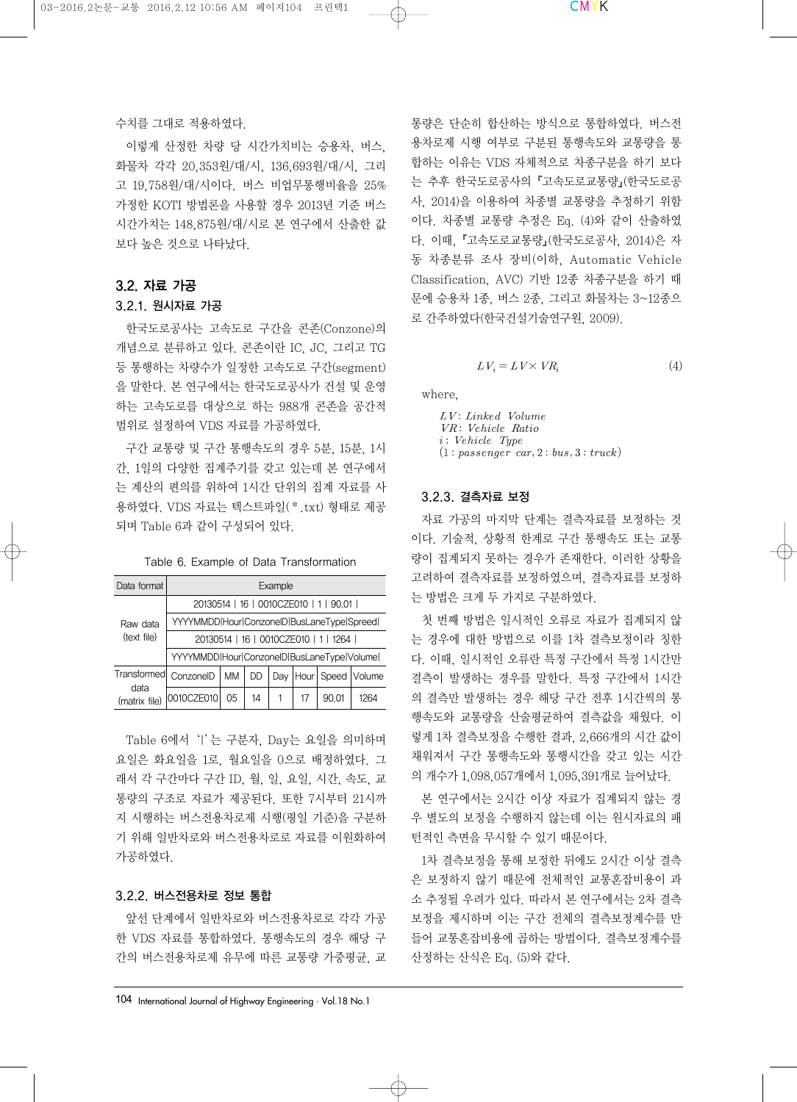#### 수치를 그대로 적용하였다.

이렇게 산정한 차량 당 시간가치비는 승용차, 버스, 화물차 각각 20,353원/대/시, 136,693원/대/시, 그리 고 19,758원/대/시이다. 버스 비업무통행비율을 25% 가정한 KOTI 방법론을 사용할 경우 2013년 기준 버스 시간가치는 148,875원/대/시로 본 연구에서 산출한 값 보다 높은 것으로 나타났다.

# 3.2. 자료 가공

# 3.2.1. 원시자료 가공

한국도로공사는 고속도로 구간을 콘존(Conzone)의 개념으로 분류하고 있다. 콘존이란 IC, JC, 그리고 TG 등 통행하는 차량수가 일정한 고속도로 구간(segment) 을 말한다. 본 연구에서는 한국도로공사가 건설 및 운영 하는 고속도로를 대상으로 하는 988개 콘존을 공간적 범위로 설정하여 VDS 자료를 가공하였다.

구간 교통량 및 구간 통행속도의 경우 5분, 15분, 1시 간, 1일의 다양한 집계주기를 갖고 있는데 본 연구에서 는 계산의 편의를 위하여 1시간 단위의 집계 자료를 사 용하였다. VDS 자료는 텍스트파일(\*.txt) 형태로 제공 되며 Table 6과 같이 구성되어 있다.

|  |  |  |  | Table 6. Example of Data Transformation |
|--|--|--|--|-----------------------------------------|
|--|--|--|--|-----------------------------------------|

| Data format           | Example                                    |                                            |    |     |    |                                        |                   |  |
|-----------------------|--------------------------------------------|--------------------------------------------|----|-----|----|----------------------------------------|-------------------|--|
|                       |                                            |                                            |    |     |    | 20130514   16   0010CZE010   1   90.01 |                   |  |
| Raw data              |                                            | YYYYMMDD Hour ConzonelD BusLaneType Spreed |    |     |    |                                        |                   |  |
| (text file)           | 20130514   16   0010CZE010   1   1264      |                                            |    |     |    |                                        |                   |  |
|                       | YYYYMMDD Hour ConzonelD BusLaneType Volume |                                            |    |     |    |                                        |                   |  |
| Transformed           | ConzonelD                                  | MM                                         | DD | Dav |    |                                        | Hour Speed Volume |  |
| data<br>(matrix file) | 0010CZE010                                 | 0 <sub>5</sub>                             | 14 |     | 17 | 90.01                                  | 1264              |  |

Table 6에서 '|' 는 구분자, Day는 요일을 의미하며 요일은 화요일을 1로, 월요일을 0으로 배정하였다. 그 래서 각 구간마다 구간 ID, 월, 일, 요일, 시간, 속도, 교 통량의 구조로 자료가 제공된다. 또한 7시부터 21시까 지 시행하는 버스전용차로제 시행(평일 기준)을 구분하 기 위해 일반차로와 버스전용차로로 자료를 이원화하여 가공하였다.

# 3.2.2. 버스전용차로 정보 통합

앞선 단계에서 일반차로와 버스전용차로로 각각 가공 한 VDS 자료를 통합하였다. 통행속도의 경우 해당 구 간의 버스전용차로제 유무에 따른 교통량 가중평균, 교 통량은 단순히 합산하는 방식으로 통합하였다. 버스전 용차로제 시행 여부로 구분된 통행속도와 교통량을 통 합하는 이유는 VDS 자체적으로 차종구분을 하기 보다 는 추후 한국도로공사의『고속도로교통량』(한국도로공 사, 2014)을 이용하여 차종별 교통량을 추정하기 위함 이다. 차종별 교통량 추정은 Eq. (4)와 같이 산출하였 다. 이때, 『고속도로교통량』(한국도로공사, 2014)은 자 동 차종분류 조사 장비(이하, Automatic Vehicle Classification, AVC) 기반 12종 차종구분을 하기 때 문에 승용차 1종, 버스 2종, 그리고 화물차는 3~12종으 로 간주하였다(한국건설기술연구원, 2009).

$$
LV_i = LV \times VR_i \tag{4}
$$

where,

 $LV:$  Linked Volume VR: Vehicle Ratio  $i$ : Vehicle Type  $(1: passenger \ car, 2: bus, 3: truck)$ 

# 3.2.3. 결측자료 보정

자료 가공의 마지막 단계는 결측자료를 보정하는 것 이다. 기술적, 상황적 한계로 구간 통행속도 또는 교통 량이 집계되지 못하는 경우가 존재한다. 이러한 상황을 고려하여 결측자료를 보정하였으며, 결측자료를 보정하 는 방법은 크게 두 가지로 구분하였다.

첫 번째 방법은 일시적인 오류로 자료가 집계되지 않 는 경우에 대한 방법으로 이를 1차 결측보정이라 칭한 다. 이때, 일시적인 오류란 특정 구간에서 특정 1시간만 결측이 발생하는 경우를 말한다. 특정 구간에서 1시간 의 결측만 발생하는 경우 해당 구간 전후 1시간씩의 통 행속도와 교통량을 산술평균하여 결측값을 채웠다. 이 렇게 1차 결측보정을 수행한 결과, 2,666개의 시간 값이 채워져서 구간 통행속도와 통행시간을 갖고 있는 시간 의 개수가 1,098,057개에서 1,095,391개로 늘어났다.

본 연구에서는 2시간 이상 자료가 집계되지 않는 경 우 별도의 보정을 수행하지 않는데 이는 원시자료의 패 턴적인 측면을 무시할 수 있기 때문이다.

1차 결측보정을 통해 보정한 뒤에도 2시간 이상 결측 은 보정하지 않기 때문에 전체적인 교통혼잡비용이 과 소 추정될 우려가 있다. 따라서 본 연구에서는 2차 결측 보정을 제시하며 이는 구간 전체의 결측보정계수를 만 들어 교통혼잡비용에 곱하는 방법이다. 결측보정계수를 산정하는 산식은 Eq. (5)와 같다.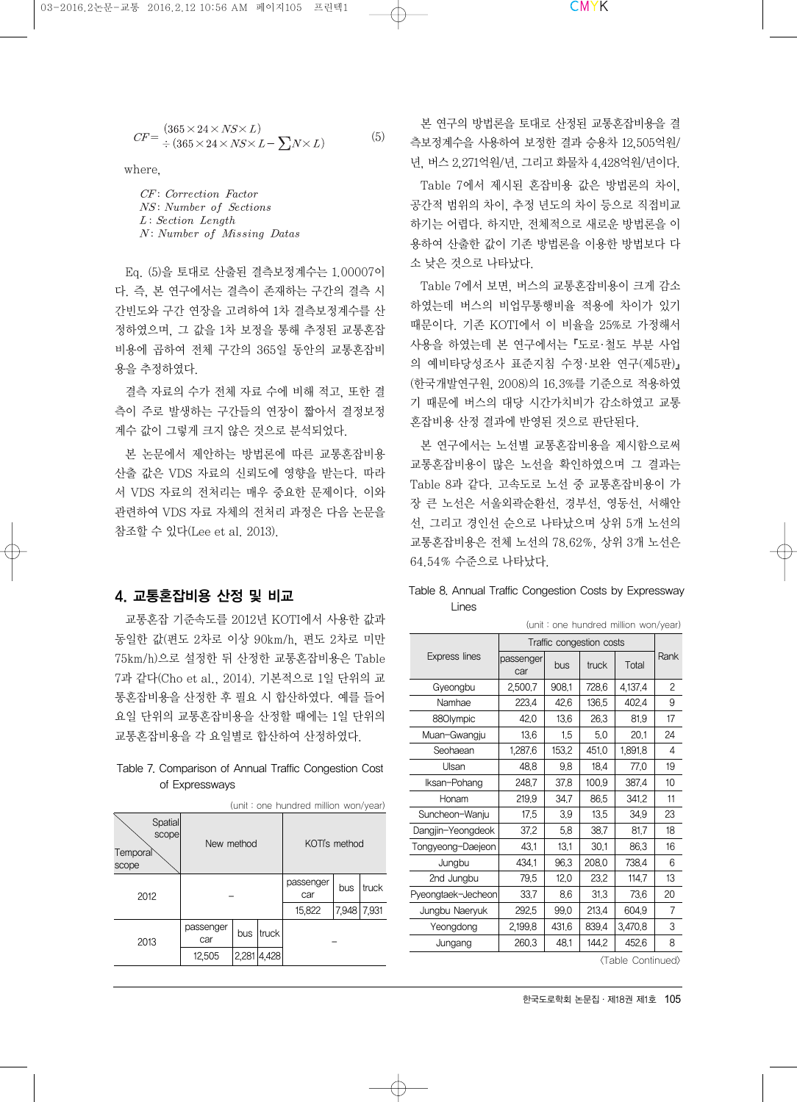$$
CF = \frac{(365 \times 24 \times NS \times L)}{\div (365 \times 24 \times NS \times L - \sum N \times L)} \tag{5}
$$

where,

CF: Correction Factor NS: Number of Sections  $L: Section$  Length N: Number of Missing Datas

Eq. (5)을 토대로 산출된 결측보정계수는 1.00007이 다. 즉, 본 연구에서는 결측이 존재하는 구간의 결측 시 간빈도와 구간 연장을 고려하여 1차 결측보정계수를 산 정하였으며, 그 값을 1차 보정을 통해 추정된 교통혼잡 비용에 곱하여 전체 구간의 365일 동안의 교통혼잡비 용을 추정하였다.

결측 자료의 수가 전체 자료 수에 비해 적고, 또한 결 측이 주로 발생하는 구간들의 연장이 짧아서 결정보정 계수 값이 그렇게 크지 않은 것으로 분석되었다.

본 논문에서 제안하는 방법론에 따른 교통혼잡비용 산출 값은 VDS 자료의 신뢰도에 영향을 받는다. 따라 서 VDS 자료의 전처리는 매우 중요한 문제이다. 이와 관련하여 VDS 자료 자체의 전처리 과정은 다음 논문을 참조할 수 있다(Lee et al. 2013).

# 4. 교통혼잡비용 산정 및 비교

교통혼잡 기준속도를 2012년 KOTI에서 사용한 값과 동일한 값(편도 2차로 이상 90km/h, 편도 2차로 미만 75km/h)으로 설정한 뒤 산정한 교통혼잡비용은 Table 7과 같다(Cho et al., 2014). 기본적으로 1일 단위의 교 통혼잡비용을 산정한 후 필요 시 합산하였다. 예를 들어 요일 단위의 교통혼잡비용을 산정할 때에는 1일 단위의 교통혼잡비용을 각 요일별로 합산하여 산정하였다.

# Table 7. Comparison of Annual Traffic Congestion Cost of Expressways

(unit : one hundred million won/year)

| Spatial<br>scope<br>Temporal<br>scope | New method                       |       |       | KOTI's method    |       |       |  |
|---------------------------------------|----------------------------------|-------|-------|------------------|-------|-------|--|
| 2012                                  |                                  |       |       | passenger<br>car | bus   | truck |  |
|                                       |                                  |       |       | 15,822           | 7,948 | 7,931 |  |
| 2013                                  | passenger<br>truck<br>bus<br>car |       |       |                  |       |       |  |
|                                       | 12,505                           | 2,281 | 4,428 |                  |       |       |  |

본 연구의 방법론을 토대로 산정된 교통혼잡비용을 결 측보정계수을 사용하여 보정한 결과 승용차 12,505억원/ 년, 버스 2,271억원/년, 그리고 화물차 4,428억원/년이다.

Table 7에서 제시된 혼잡비용 값은 방법론의 차이, 공간적 범위의 차이, 추정 년도의 차이 등으로 직접비교 하기는 어렵다. 하지만, 전체적으로 새로운 방법론을 이 용하여 산출한 값이 기존 방법론을 이용한 방법보다 다 소 낮은 것으로 나타났다.

Table 7에서 보면, 버스의 교통혼잡비용이 크게 감소 하였는데 버스의 비업무통행비율 적용에 차이가 있기 때문이다. 기존 KOTI에서 이 비율을 25%로 가정해서 사용을 하였는데 본 연구에서는 『도로·철도 부분 사업 의 예비타당성조사 표준지침 수정·보완 연구(제5판)』 (한국개발연구원, 2008)의 16.3%를 기준으로 적용하였 기 때문에 버스의 대당 시간가치비가 감소하였고 교통 혼잡비용 산정 결과에 반영된 것으로 판단된다.

본 연구에서는 노선별 교통혼잡비용을 제시함으로써 교통혼잡비용이 많은 노선을 확인하였으며 그 결과는 Table 8과 같다. 고속도로 노선 중 교통혼잡비용이 가 장 큰 노선은 서울외곽순환선, 경부선, 영동선, 서해안 선, 그리고 경인선 순으로 나타났으며 상위 5개 노선의 교통혼잡비용은 전체 노선의 78.62%, 상위 3개 노선은 64.54% 수준으로 나타났다.

| (unit: one hundred million won/year) |                  |                          |       |         |                |  |  |
|--------------------------------------|------------------|--------------------------|-------|---------|----------------|--|--|
|                                      |                  | Traffic congestion costs |       |         |                |  |  |
| Express lines                        | passenger<br>car | bus                      | truck | Total   | Rank           |  |  |
| Gyeongbu                             | 2,500.7          | 908.1                    | 728.6 | 4,137.4 | $\overline{c}$ |  |  |
| Namhae                               | 223.4            | 42.6                     | 136,5 | 402.4   | 9              |  |  |
| 880lympic                            | 42.0             | 13.6                     | 26.3  | 81.9    | 17             |  |  |
| Muan-Gwangju                         | 13.6             | 1.5                      | 5.0   | 20.1    | 24             |  |  |
| Seohaean                             | 1,287,6          | 153,2                    | 451.0 | 1,891,8 | 4              |  |  |
| Ulsan                                | 48.8             | 9.8                      | 18.4  | 77.0    | 19             |  |  |
| Iksan-Pohang                         | 248.7            | 37.8                     | 100.9 | 387.4   | 10             |  |  |
| Honam                                | 219.9            | 34.7                     | 86.5  | 341.2   | 11             |  |  |
| Suncheon-Wanju                       | 17,5             | 3.9                      | 13,5  | 34.9    | 23             |  |  |
| Dangjin-Yeongdeok                    | 37,2             | 5.8                      | 38.7  | 81,7    | 18             |  |  |
| Tongyeong-Daejeon                    | 43.1             | 13.1                     | 30.1  | 86.3    | 16             |  |  |
| Jungbu                               | 434.1            | 96,3                     | 208.0 | 738.4   | 6              |  |  |
| 2nd Jungbu                           | 79,5             | 12,0                     | 23,2  | 114,7   | 13             |  |  |
| Pyeongtaek-Jecheon                   | 33,7             | 8.6                      | 31.3  | 73.6    | 20             |  |  |
| Jungbu Naeryuk                       | 292.5            | 99.0                     | 213.4 | 604.9   | 7              |  |  |
| Yeongdong                            | 2,199.8          | 431.6                    | 839.4 | 3,470,8 | 3              |  |  |
| Jungang                              | 260,3            | 48.1                     | 144.2 | 452,6   | 8              |  |  |

Table 8. Annual Traffic Congestion Costs by Expressway Lines

<Table Continued>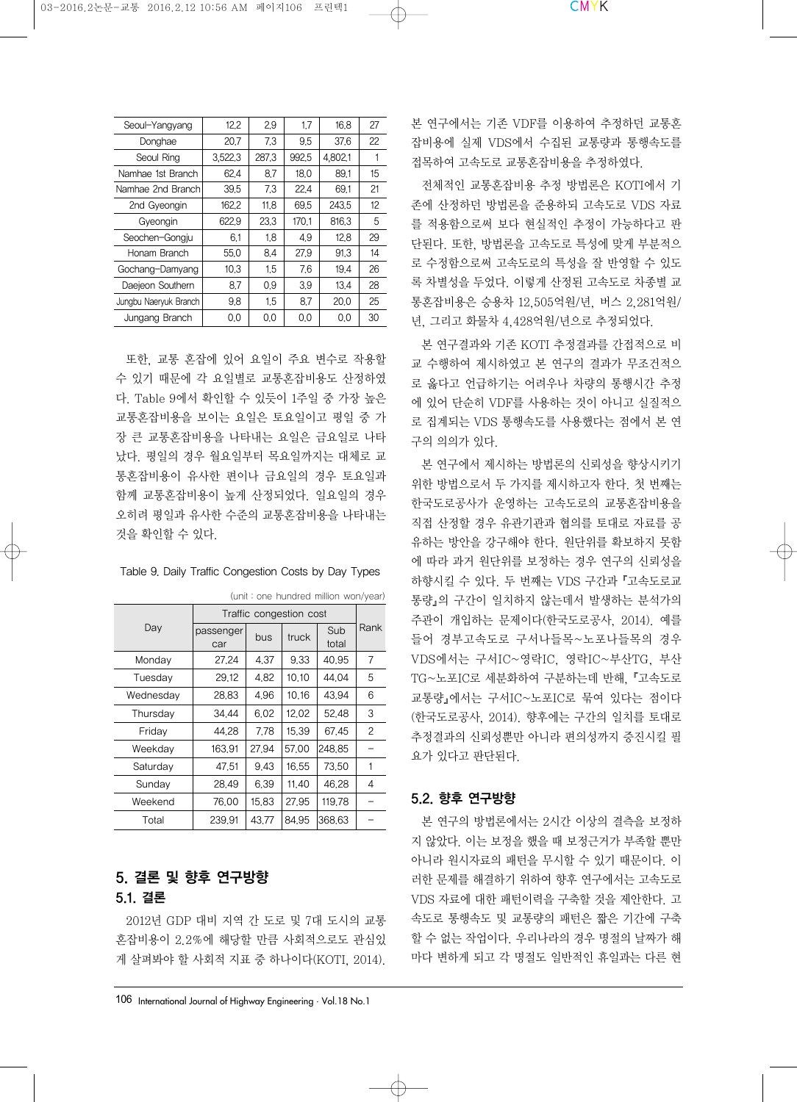| Seoul-Yangyang        | 12.2    | 2.9   | 1.7   | 16.8    | 27 |
|-----------------------|---------|-------|-------|---------|----|
| Donghae               | 20.7    | 7.3   | 9.5   | 37.6    | 22 |
| Seoul Ring            | 3,522,3 | 287.3 | 992.5 | 4,802.1 |    |
| Namhae 1st Branch     | 62.4    | 8.7   | 18.0  | 89.1    | 15 |
| Namhae 2nd Branch     | 39.5    | 7.3   | 22.4  | 69.1    | 21 |
| 2nd Gyeongin          | 162.2   | 11.8  | 69.5  | 243.5   | 12 |
| Gyeongin              | 622.9   | 23.3  | 170.1 | 816.3   | 5  |
| Seochen-Gongju        | 6.1     | 1.8   | 4.9   | 12,8    | 29 |
| Honam Branch          | 55.0    | 8.4   | 27.9  | 91.3    | 14 |
| Gochang-Damyang       | 10.3    | 1.5   | 7.6   | 19.4    | 26 |
| Daejeon Southern      | 8.7     | 0.9   | 3.9   | 13,4    | 28 |
| Jungbu Naeryuk Branch | 9.8     | 1.5   | 8.7   | 20.0    | 25 |
| Jungang Branch        | 0.0     | 0.0   | 0.0   | 0.0     | 30 |

또한, 교통 혼잡에 있어 요일이 주요 변수로 작용할 수 있기 때문에 각 요일별로 교통혼잡비용도 산정하였 다. Table 9에서 확인할 수 있듯이 1주일 중 가장 높은 교통혼잡비용을 보이는 요일은 토요일이고 평일 중 가 장 큰 교통혼잡비용을 나타내는 요일은 금요일로 나타 났다. 평일의 경우 월요일부터 목요일까지는 대체로 교 통혼잡비용이 유사한 편이나 금요일의 경우 토요일과 함께 교통혼잡비용이 높게 산정되었다. 일요일의 경우 오히려 평일과 유사한 수준의 교통혼잡비용을 나타내는 것을 확인할 수 있다.

| Day       | Traffic congestion cost |       |       |              |      |
|-----------|-------------------------|-------|-------|--------------|------|
|           | passenger<br>car        | bus   | truck | Sub<br>total | Rank |
| Monday    | 27.24                   | 4.37  | 9.33  | 40.95        | 7    |
| Tuesday   | 29.12                   | 4.82  | 10.10 | 44.04        | 5    |
| Wednesday | 28.83                   | 4.96  | 10.16 | 43.94        | 6    |
| Thursday  | 34.44                   | 6.02  | 12.02 | 52.48        | 3    |
| Friday    | 44.28                   | 7.78  | 15.39 | 67.45        | 2    |
| Weekdav   | 163.91                  | 27.94 | 57.00 | 248.85       |      |
| Saturday  | 47.51                   | 9.43  | 16.55 | 73.50        |      |
| Sunday    | 28.49                   | 6.39  | 11.40 | 46.28        | 4    |
| Weekend   | 76.00                   | 15.83 | 27.95 | 119.78       |      |
| Total     | 239.91                  | 43.77 | 84.95 | 368.63       |      |

(unit : one hundred million won/year)

# 5. 결론 및 향후 연구방향 5.1. 결론

2012년 GDP 대비 지역 간 도로 및 7대 도시의 교통 혼잡비용이 2.2%에 해당할 만큼 사회적으로도 관심있 게 살펴봐야 할 사회적 지표 중 하나이다(KOTI, 2014). 본 연구에서는 기존 VDF를 이용하여 추정하던 교통혼 잡비용에 실제 VDS에서 수집된 교통량과 통행속도를 접목하여 고속도로 교통혼잡비용을 추정하였다.

전체적인 교통혼잡비용 추정 방법론은 KOTI에서 기 존에 산정하던 방법론을 준용하되 고속도로 VDS 자료 를 적용함으로써 보다 현실적인 추정이 가능하다고 판 단된다. 또한, 방법론을 고속도로 특성에 맞게 부분적으 로 수정함으로써 고속도로의 특성을 잘 반영할 수 있도 록 차별성을 두었다. 이렇게 산정된 고속도로 차종별 교 통혼잡비용은 승용차 12,505억원/년, 버스 2,281억원/ 년, 그리고 화물차 4,428억원/년으로 추정되었다.

본 연구결과와 기존 KOTI 추정결과를 간접적으로 비 교 수행하여 제시하였고 본 연구의 결과가 무조건적으 로 옳다고 언급하기는 어려우나 차량의 통행시간 추정 에 있어 단순히 VDF를 사용하는 것이 아니고 실질적으 로 집계되는 VDS 통행속도를 사용했다는 점에서 본 연 구의 의의가 있다.

본 연구에서 제시하는 방법론의 신뢰성을 향상시키기 위한 방법으로서 두 가지를 제시하고자 한다. 첫 번째는 한국도로공사가 운영하는 고속도로의 교통혼잡비용을 직접 산정할 경우 유관기관과 협의를 토대로 자료를 공 유하는 방안을 강구해야 한다. 원단위를 확보하지 못함 에 따라 과거 원단위를 보정하는 경우 연구의 신뢰성을 하향시킬 수 있다. 두 번째는 VDS 구간과『고속도로교 통량』의 구간이 일치하지 않는데서 발생하는 분석가의 주관이 개입하는 문제이다(한국도로공사, 2014). 예를 들어 경부고속도로 구서나들목~노포나들목의 경우 VDS에서는 구서IC~영락IC, 영락IC~부산TG, 부산 TG~노포IC로 세분화하여 구분하는데 반해, 『고속도로 교통량』에서는 구서IC~노포IC로 묶여 있다는 점이다 (한국도로공사, 2014). 향후에는 구간의 일치를 토대로 추정결과의 신뢰성뿐만 아니라 편의성까지 증진시킬 필 요가 있다고 판단된다.

#### 5.2. 향후 연구방향

본 연구의 방법론에서는 2시간 이상의 결측을 보정하 지 않았다. 이는 보정을 했을 때 보정근거가 부족할 뿐만 아니라 원시자료의 패턴을 무시할 수 있기 때문이다. 이 러한 문제를 해결하기 위하여 향후 연구에서는 고속도로 VDS 자료에 대한 패턴이력을 구축할 것을 제안한다. 고 속도로 통행속도 및 교통량의 패턴은 짧은 기간에 구축 할 수 없는 작업이다. 우리나라의 경우 명절의 날짜가 해 마다 변하게 되고 각 명절도 일반적인 휴일과는 다른 현